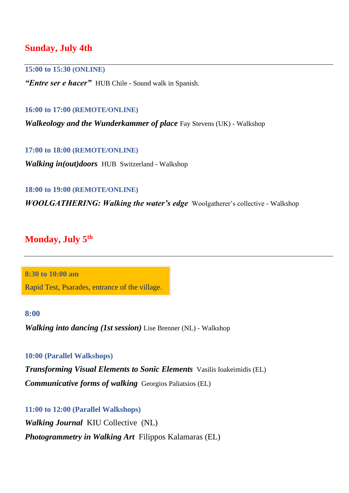## **Sunday, July 4th**

**15:00 to 15:30 (ONLINE)**

"**Entre ser e hacer"** HUB Chile - Sound walk in Spanish.

**16:00 to 17:00 (REMOTE/ONLINE)**

*Walkeology and the Wunderkammer of place* Fay Stevens (UK) - Walkshop

**17:00 to 18:00 (REMOTE/ONLINE)**

*Walking in(out)doors* HUB Switzerland - Walkshop

**18:00 to 19:00 (REMOTE/ONLINE)**

*WOOLGATHERING: Walking the water's edge* Woolgatherer's collective - Walkshop

### **Monday, July 5th**

**8:30 to 10:00 am**

Rapid Test, Psarades, entrance of the village.

#### **8:00**

*Walking into dancing (1st session)* Lise Brenner (NL) - Walkshop

**10:00 (Parallel Walkshops)**

*Transforming Visual Elements to Sonic Elements* Vasilis Ioakeimidis (EL) *Communicative forms of walking* Georgios Paliatsios (EL)

**11:00 to 12:00 (Parallel Walkshops)** *Walking Journal* KIU Collective (NL) *Photogrammetry in Walking Art* Filippos Kalamaras (EL)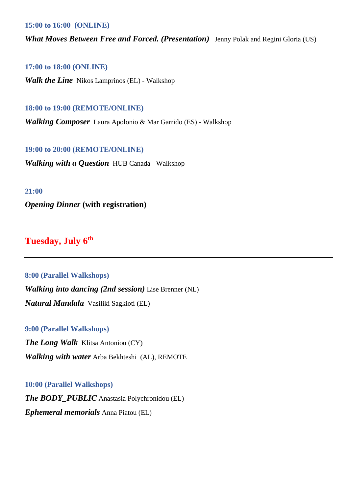**15:00 to 16:00 (ONLINE)**

*What Moves Between Free and Forced. (Presentation)* Jenny Polak and Regini Gloria (US)

**17:00 to 18:00 (ONLINE)**

*Walk the Line* Nikos Lamprinos (EL) - Walkshop

**18:00 to 19:00 (REMOTE/ONLINE)**

*Walking Composer* Laura Apolonio & Mar Garrido (ES) - Walkshop

**19:00 to 20:00 (REMOTE/ONLINE)**

*Walking with a Question* HUB Canada - Walkshop

**21:00** 

*Opening Dinner* **(with registration)**

## **Tuesday, July 6th**

**8:00 (Parallel Walkshops)** *Walking into dancing (2nd session)* Lise Brenner (NL) *Natural Mandala* Vasiliki Sagkioti (EL)

**9:00 (Parallel Walkshops)**

*The Long Walk* Klitsa Antoniou (CY) *Walking with water* Arba Bekhteshi (AL), REMOTE

#### **10:00 (Parallel Walkshops)**

*The BODY\_PUBLIC* Anastasia Polychronidou (EL) *Ephemeral memorials* Anna Piatou (EL)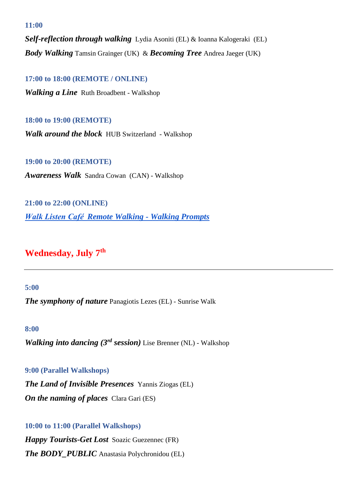**11:00** 

*Self-reflection through walking* Lydia Asoniti (EL) & Ioanna Kalogeraki (EL) *Body Walking* Tamsin Grainger (UK) & *Becoming Tree* Andrea Jaeger (UK)

**17:00 to 18:00 (REMOTE / ONLINE)** *Walking a Line* Ruth Broadbent - Walkshop

**18:00 to 19:00 (REMOTE)** 

*Walk around the block* HUB Switzerland - Walkshop

**19:00 to 20:00 (REMOTE)** *Awareness Walk* Sandra Cowan (CAN) - Walkshop

**21:00 to 22:00 (ONLINE)** *[Walk Listen Café](https://walklistencreate.org/walkingevent/remote-walking/)**[Remote Walking -](https://walklistencreate.org/walkingevent/remote-walking/) Walking Prompts*

### **Wednesday, July 7th**

**5:00** 

*The symphony of nature* Panagiotis Lezes (EL) - Sunrise Walk

**8:00** 

*Walking into dancing (3rd session)* Lise Brenner (NL) - Walkshop

**9:00 (Parallel Walkshops)**

*The Land of Invisible Presences* Yannis Ziogas (EL) *On the naming of places* Clara Gari (ES)

**10:00 to 11:00 (Parallel Walkshops)**

*Happy Tourists-Get Lost* Soazic Guezennec (FR) *The BODY\_PUBLIC* Anastasia Polychronidou (EL)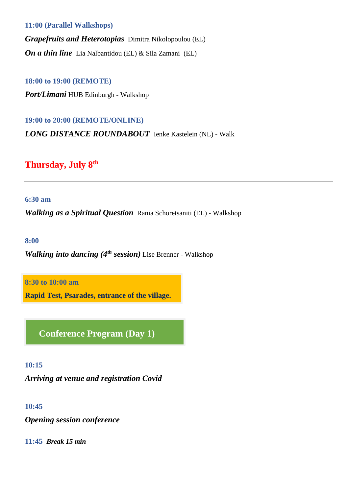#### **11:00 (Parallel Walkshops)**

*Grapefruits and Heterotopias* Dimitra Nikolopoulou (EL) *On a thin line* Lia Nalbantidou (EL) & Sila Zamani (EL)

#### **18:00 to 19:00 (REMOTE)**

*Port/Limani* HUB Edinburgh - Walkshop

# **19:00 to 20:00 (REMOTE/ONLINE)** *LONG DISTANCE ROUNDABOUT* Ienke Kastelein (NL) - Walk

### **Thursday, July 8th**

#### **6:30 am**

*Walking as a Spiritual Question* Rania Schoretsaniti (EL) - Walkshop

#### **8:00**

*Walking into dancing (4th session)* Lise Brenner - Walkshop

**8:30 to 10:00 am**

**Rapid Test, Psarades, entrance of the village.**

 **Conference Program (Day 1)**

#### **10:15**

*Arriving at venue and registration Covid*

#### **10:45**

*Opening session conference* 

**11:45** *Break 15 min*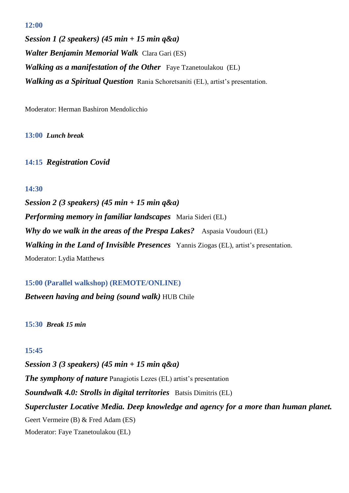*Session 1 (2 speakers) (45 min + 15 min q&a) Walter Benjamin Memorial Walk* Clara Gari (ES) *Walking as a manifestation of the Other* Faye Tzanetoulakou (EL) *Walking as a Spiritual Question* Rania Schoretsaniti (EL), artist's presentation.

Moderator: Herman Bashiron Mendolicchio

**13:00** *Lunch break*

**14:15** *Registration Covid*

#### **14:30**

*Session 2 (3 speakers) (45 min + 15 min q&a) Performing memory in familiar landscapes* Maria Sideri (EL) *Why do we walk in the areas of the Prespa Lakes?* Aspasia Voudouri (EL) *Walking in the Land of Invisible Presences* Yannis Ziogas (EL), artist's presentation. Moderator: Lydia Matthews

## **15:00 (Parallel walkshop) (REMOTE/ONLINE)** *Between having and being (sound walk)* HUB Chile

**15:30** *Break 15 min*

#### **15:45**

*Session 3 (3 speakers) (45 min + 15 min q&a) The symphony of nature* Panagiotis Lezes (EL) artist's presentation *Soundwalk 4.0: Strolls in digital territories* Batsis Dimitris (EL) *Supercluster Locative Media. Deep knowledge and agency for a more than human planet.* Geert Vermeire (B) & Fred Adam (ES) Moderator: Faye Tzanetoulakou (EL)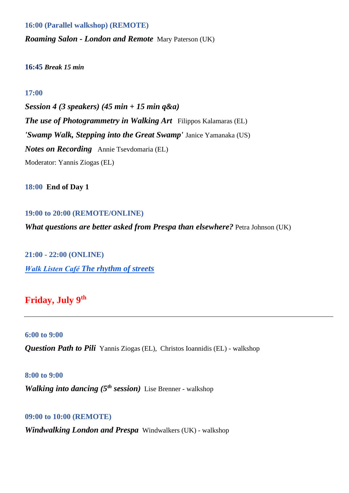**16:00 (Parallel walkshop) (REMOTE)**

*Roaming Salon - London and Remote* Mary Paterson (UK)

#### **16:45** *Break 15 min*

#### **17:00**

*Session 4 (3 speakers) (45 min + 15 min q&a) The use of Photogrammetry in Walking Art* Filippos Kalamaras (EL) *'Swamp Walk, Stepping into the Great Swamp'* Janice Yamanaka (US) *Notes on Recording* Annie Tsevdomaria (EL) Moderator: Yannis Ziogas (EL)

**18:00 End of Day 1**

#### **19:00 to 20:00 (REMOTE/ONLINE)**

*What questions are better asked from Prespa than elsewhere?* Petra Johnson (UK)

**21:00 - 22:00 (ONLINE)** *[Walk Listen Café](https://walklistencreate.org/walkingevent/the-rhythm-of-the-streets/) [The rhythm of stree](https://walklistencreate.org/walkingevent/the-rhythm-of-the-streets/)[ts](https://walklistencreate.org/walkingevent/the-rhythm-of-the-streets/)*

### **Friday, July 9th**

#### **6:00 to 9:00**

*Question Path to Pili*Yannis Ziogas (EL), Christos Ioannidis (EL) - walkshop

#### **8:00 to 9:00**

*Walking into dancing (5th session)* Lise Brenner - walkshop

#### **09:00 to 10:00 (REMOTE)**

*Windwalking London and Prespa* Windwalkers (UK) - walkshop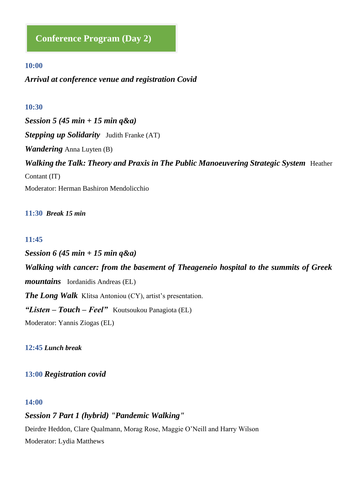#### **10:00**

*Arrival at conference venue and registration Covid*

#### **10:30**

*Session 5 (45 min + 15 min q&a) Stepping up Solidarity* Judith Franke (AT) *Wandering* Anna Luyten (B) *Walking the Talk: Theory and Praxis in The Public Manoeuvering Strategic System* Heather Contant (IT) Moderator: Herman Bashiron Mendolicchio

**11:30** *Break 15 min*

#### **11:45**

*Session 6 (45 min + 15 min q&a) Walking with cancer: from the basement of Theageneio hospital to the summits of Greek mountains* Iordanidis Andreas (EL) *The Long Walk* Klitsa Antoniou (CY), artist's presentation. *"Listen – Touch – Feel"* Koutsoukou Panagiota (EL) Moderator: Yannis Ziogas (EL)

**12:45** *Lunch break*

#### **13:00** *Registration covid*

#### **14:00**

#### *Session 7 Part 1 (hybrid) "Pandemic Walking"*

Deirdre Heddon, Clare Qualmann, Morag Rose, Maggie O'Neill and Harry Wilson Moderator: Lydia Matthews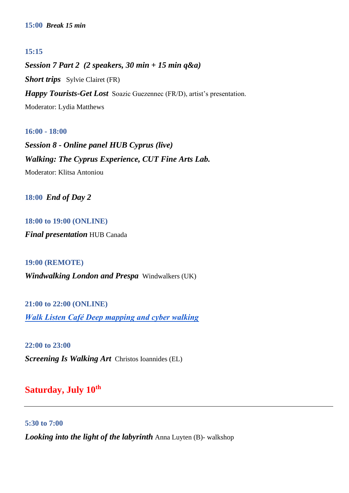#### **15:15**

*Session 7 Part 2 (2 speakers, 30 min + 15 min q&a) Short trips* Sylvie Clairet (FR) *Happy Tourists-Get Lost* Soazic Guezennec (FR/D), artist's presentation. Moderator: Lydia Matthews

**16:00 - 18:00**  *Session 8 - Online panel HUB Cyprus (live) Walking: The Cyprus Experience, CUT Fine Arts Lab.* Moderator: Klitsa Antoniou

**18:00** *End of Day 2*

**18:00 to 19:00 (ONLINE)** *Final presentation* HUB Canada

**19:00 (REMOTE)** *Windwalking London and Prespa* Windwalkers (UK)

**21:00 to 22:00 (ONLINE)** *[Walk Listen Café Deep mapping and cyber walking](https://walklistencreate.org/walkingevent/deep-mapping-and-cyber-walking/)*

**22:00 to 23:00**  *Screening Is Walking Art* Christos Ioannides (EL)

### **Saturday, July 10th**

**5:30 to 7:00** *Looking into the light of the labyrinth* Anna Luyten (B)- walkshop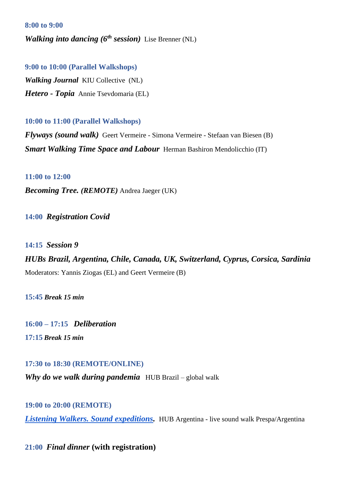#### **8:00 to 9:00**

*Walking into dancing (6th session)* Lise Brenner (NL)

**9:00 to 10:00 (Parallel Walkshops)** *Walking Journal* KIU Collective (NL) *Hetero - Topia* Annie Tsevdomaria (EL)

**10:00 to 11:00 (Parallel Walkshops)** *Flyways (sound walk)* Geert Vermeire - Simona Vermeire - Stefaan van Biesen (B) *Smart Walking Time Space and Labour* Herman Bashiron Mendolicchio (IT)

**11:00 to 12:00** 

*Becoming Tree. (REMOTE)* Andrea Jaeger (UK)

**14:00** *Registration Covid*

**14:15** *Session 9 HUBs Brazil, Argentina, Chile, Canada, UK, Switzerland, Cyprus, Corsica, Sardinia* Moderators: Yannis Ziogas (EL) and Geert Vermeire (B)

**15:45** *Break 15 min*

**16:00 – 17:15** *Deliberation* **17:15** *Break 15 min*

#### **17:30 to 18:30 (REMOTE/ONLINE)**

*Why do we walk during pandemia* HUB Brazil – global walk

**19:00 to 20:00 (REMOTE)** *[Listening Walkers. Sound expeditions.](https://drive.google.com/file/d/10gy7JIuL0JQZ5yV4ZY6rxF4pEyLwD7rc/view)* HUB Argentina - live sound walk Prespa/Argentina

**21:00** *Final dinner* **(with registration)**